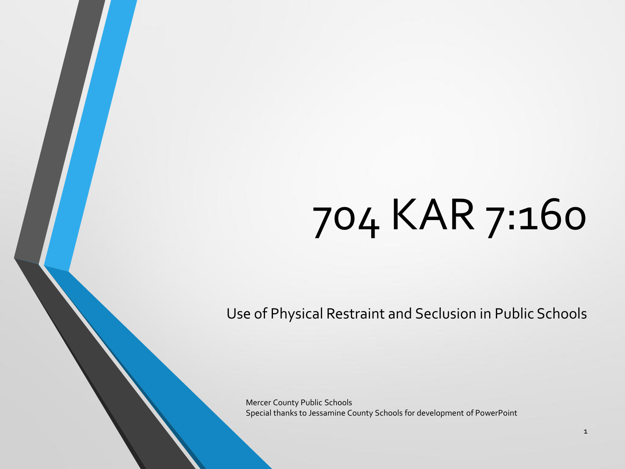# 704 KAR 7:160

Use of Physical Restraint and Seclusion in Public Schools

Mercer County Public Schools Special thanks to Jessamine County Schools for development of PowerPoint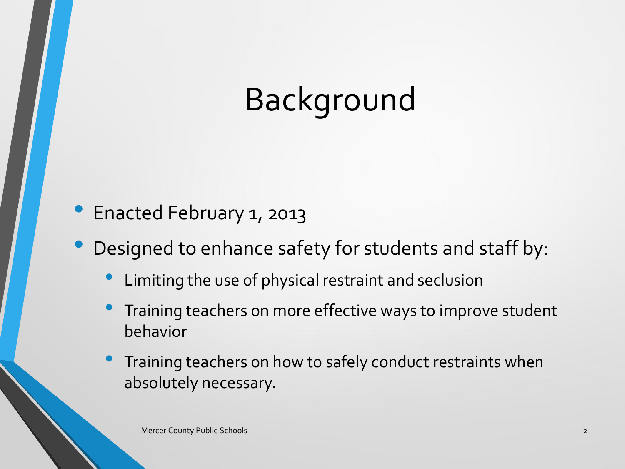# Background

- Enacted February 1, 2013
- Designed to enhance safety for students and staff by:
	- Limiting the use of physical restraint and seclusion
	- Training teachers on more effective ways to improve student behavior
	- Training teachers on how to safely conduct restraints when absolutely necessary.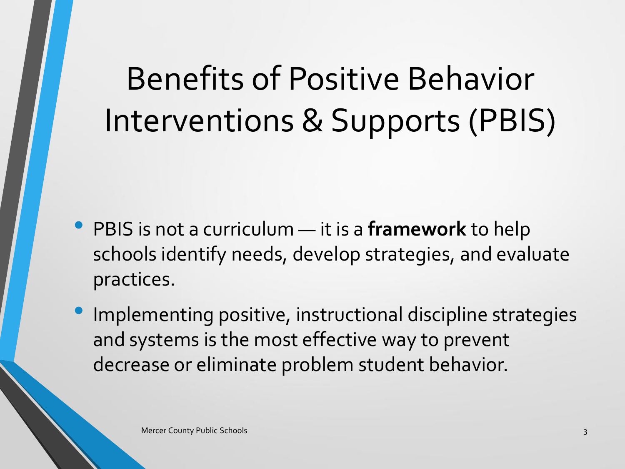# Benefits of Positive Behavior Interventions & Supports (PBIS)

- PBIS is not a curriculum it is a **framework** to help schools identify needs, develop strategies, and evaluate practices.
- Implementing positive, instructional discipline strategies and systems is the most effective way to prevent decrease or eliminate problem student behavior.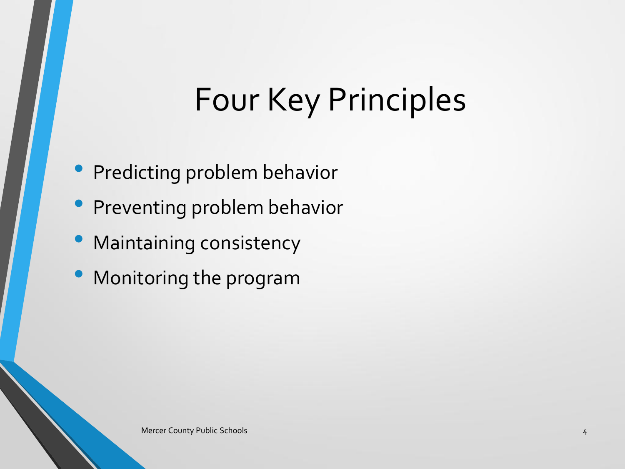## Four Key Principles

- Predicting problem behavior
- Preventing problem behavior
- Maintaining consistency
- Monitoring the program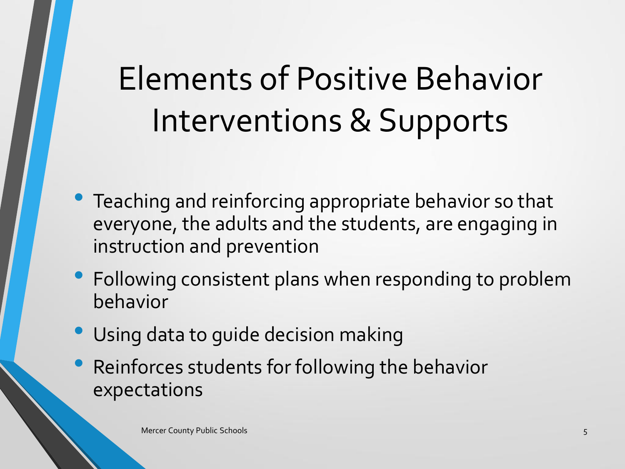# Elements of Positive Behavior Interventions & Supports

- Teaching and reinforcing appropriate behavior so that everyone, the adults and the students, are engaging in instruction and prevention
- Following consistent plans when responding to problem behavior
- Using data to guide decision making
- Reinforces students for following the behavior expectations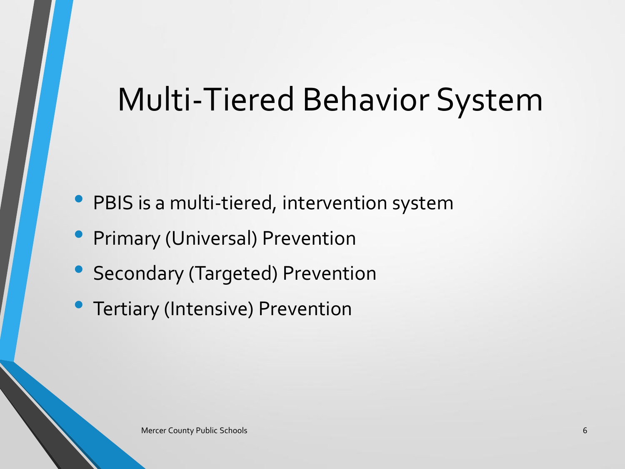### Multi-Tiered Behavior System

- PBIS is a multi-tiered, intervention system
- **Primary (Universal) Prevention**
- Secondary (Targeted) Prevention
- Tertiary (Intensive) Prevention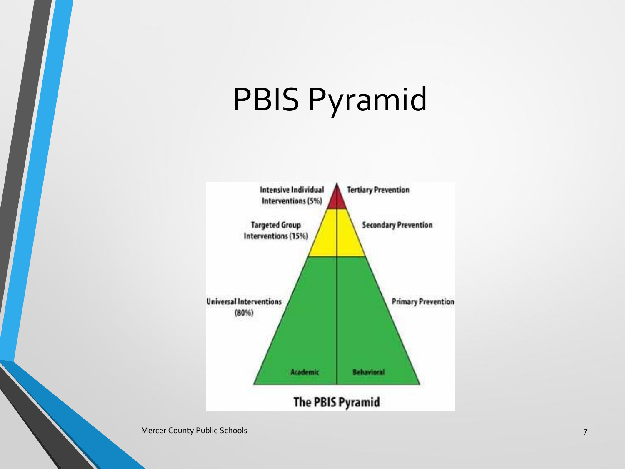## PBIS Pyramid



Mercer County Public Schools 7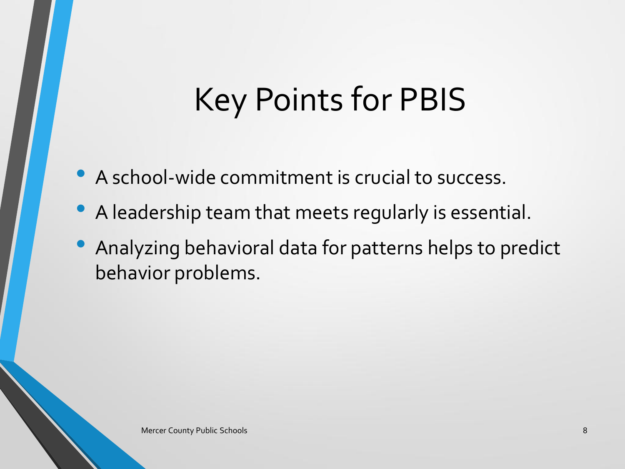## Key Points for PBIS

- A school-wide commitment is crucial to success.
- A leadership team that meets regularly is essential.
- Analyzing behavioral data for patterns helps to predict behavior problems.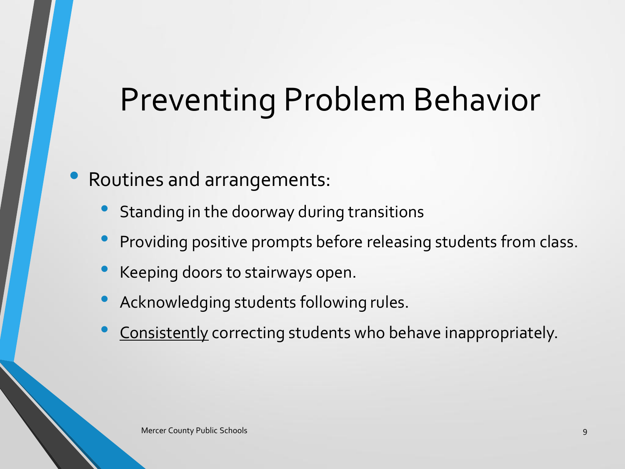### Preventing Problem Behavior

#### • Routines and arrangements:

- Standing in the doorway during transitions
- Providing positive prompts before releasing students from class.
- Keeping doors to stairways open.
- Acknowledging students following rules.
- Consistently correcting students who behave inappropriately.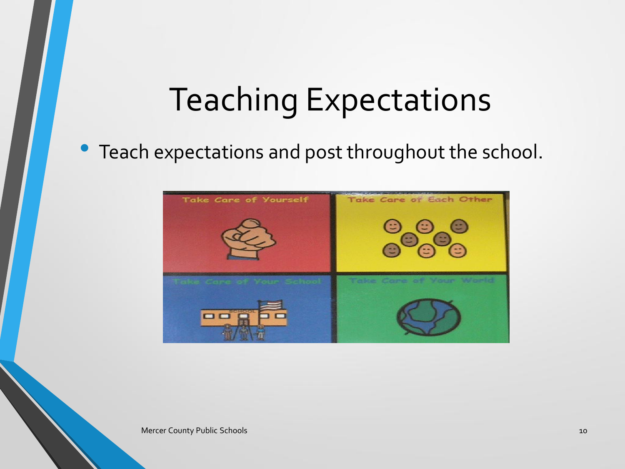### Teaching Expectations

### • Teach expectations and post throughout the school.



Mercer County Public Schools 10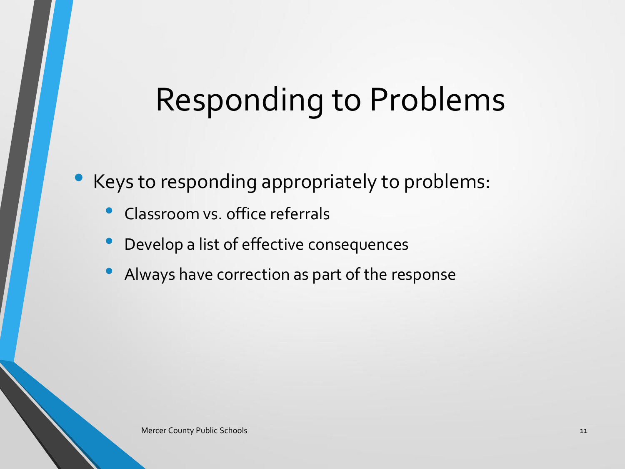## Responding to Problems

Keys to responding appropriately to problems:

- Classroom vs. office referrals
- Develop a list of effective consequences
- Always have correction as part of the response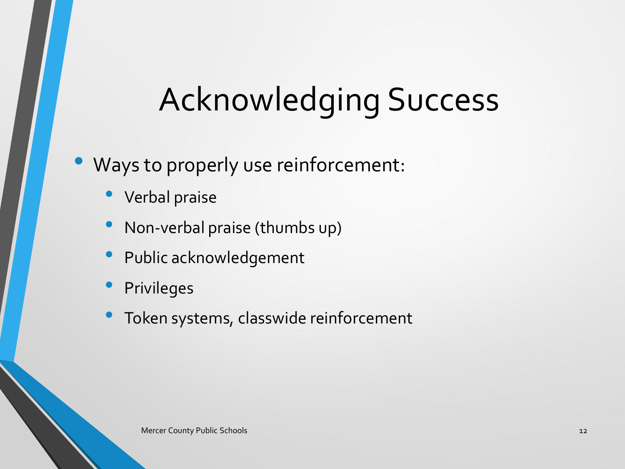## Acknowledging Success

#### Ways to properly use reinforcement:

- Verbal praise
- Non-verbal praise (thumbs up)
- Public acknowledgement
- **Privileges**
- Token systems, classwide reinforcement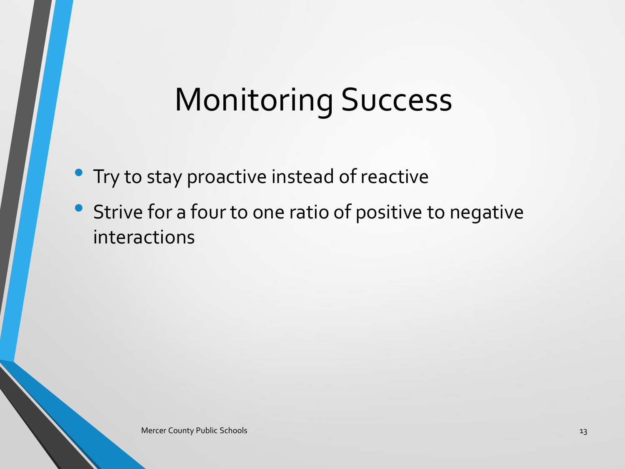## Monitoring Success

- **Try to stay proactive instead of reactive**
- Strive for a four to one ratio of positive to negative interactions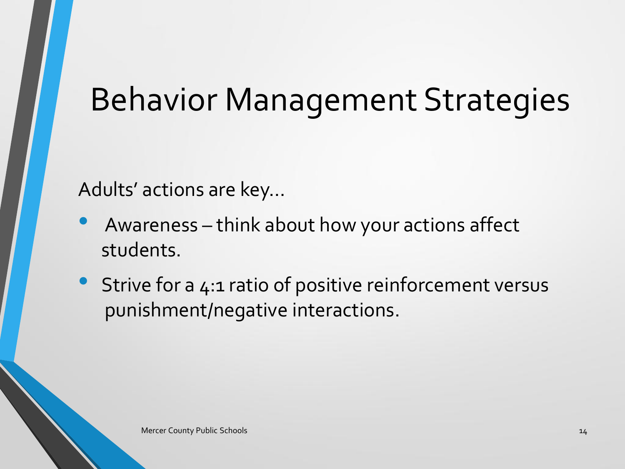### Behavior Management Strategies

Adults' actions are key…

- Awareness think about how your actions affect students.
- Strive for a 4:1 ratio of positive reinforcement versus punishment/negative interactions.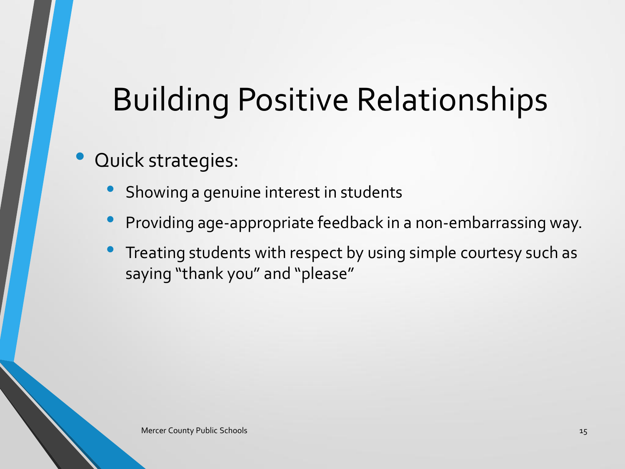## Building Positive Relationships

### • Quick strategies:

- Showing a genuine interest in students
- Providing age-appropriate feedback in a non-embarrassing way.
- Treating students with respect by using simple courtesy such as saying "thank you" and "please"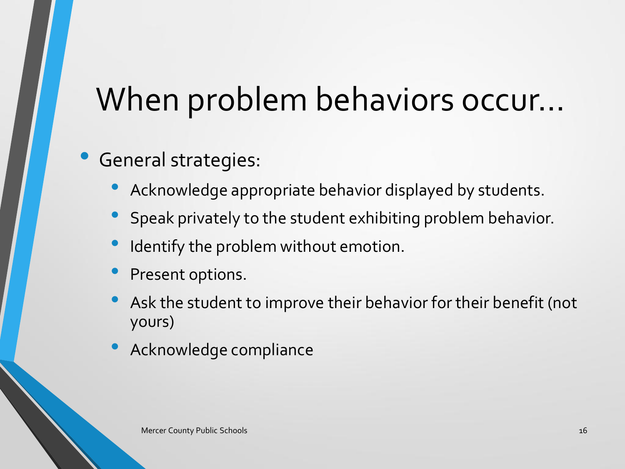## When problem behaviors occur…

### • General strategies:

- Acknowledge appropriate behavior displayed by students.
- Speak privately to the student exhibiting problem behavior.
- Identify the problem without emotion.
- Present options.
- Ask the student to improve their behavior for their benefit (not yours)
- Acknowledge compliance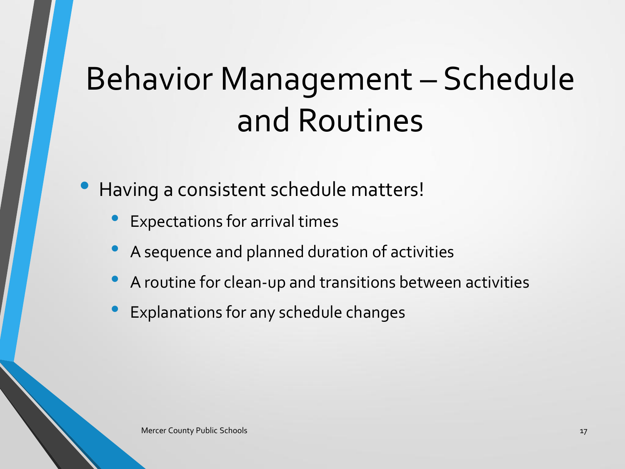# Behavior Management – Schedule and Routines

• Having a consistent schedule matters!

- Expectations for arrival times
- A sequence and planned duration of activities
- A routine for clean-up and transitions between activities
- Explanations for any schedule changes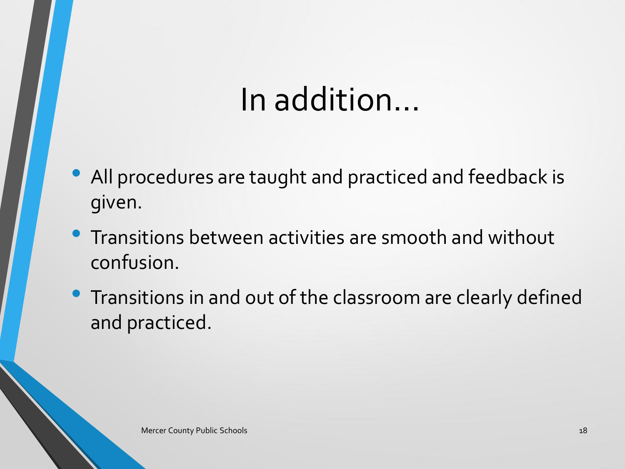## In addition…

- All procedures are taught and practiced and feedback is given.
- Transitions between activities are smooth and without confusion.
- Transitions in and out of the classroom are clearly defined and practiced.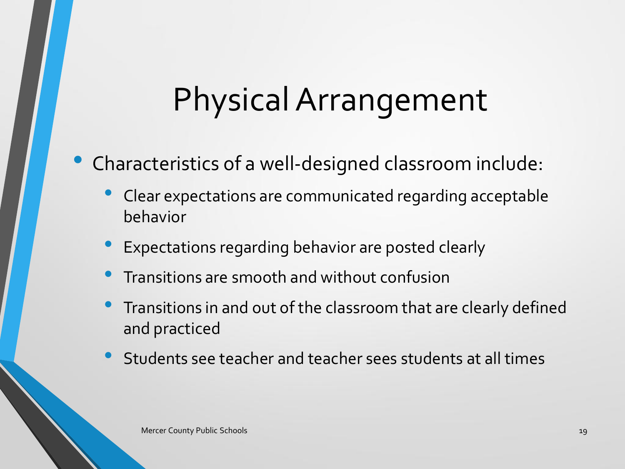## Physical Arrangement

### • Characteristics of a well-designed classroom include:

- Clear expectations are communicated regarding acceptable behavior
- Expectations regarding behavior are posted clearly
- Transitions are smooth and without confusion
- Transitions in and out of the classroom that are clearly defined and practiced
- Students see teacher and teacher sees students at all times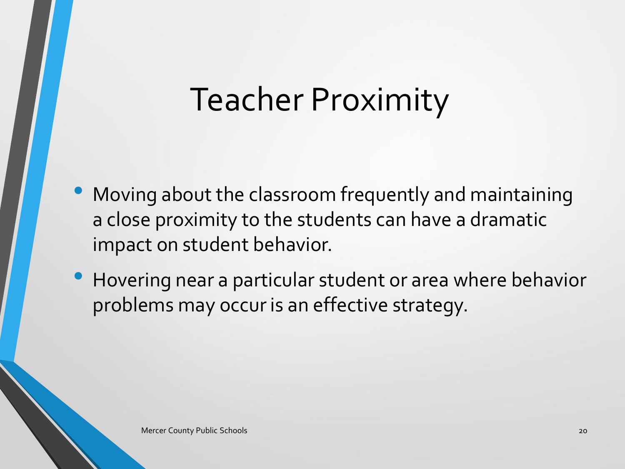### Teacher Proximity

- Moving about the classroom frequently and maintaining a close proximity to the students can have a dramatic impact on student behavior.
- Hovering near a particular student or area where behavior problems may occur is an effective strategy.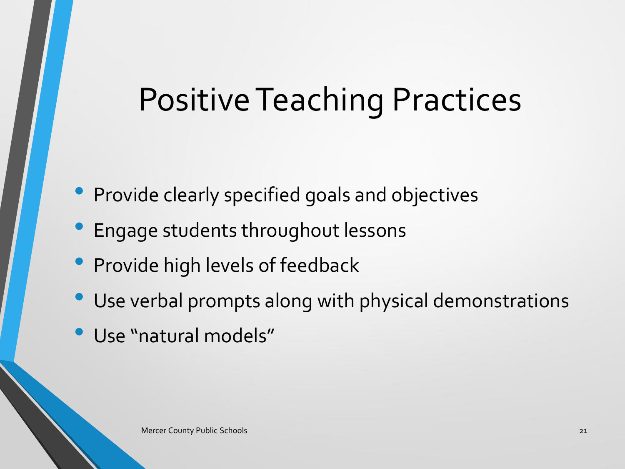### Positive Teaching Practices

- Provide clearly specified goals and objectives
- Engage students throughout lessons
- Provide high levels of feedback
- Use verbal prompts along with physical demonstrations
- Use "natural models"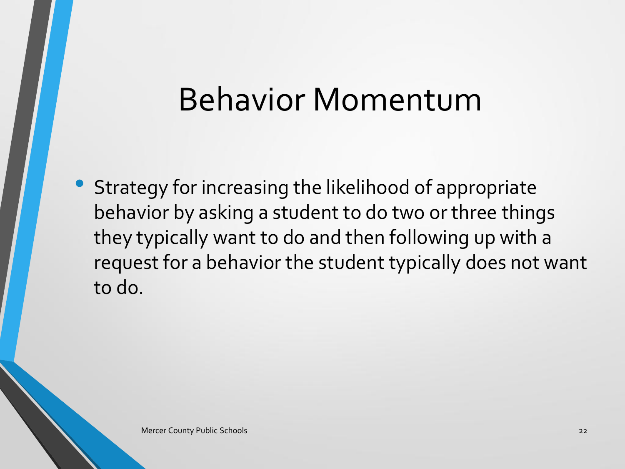### Behavior Momentum

• Strategy for increasing the likelihood of appropriate behavior by asking a student to do two or three things they typically want to do and then following up with a request for a behavior the student typically does not want to do.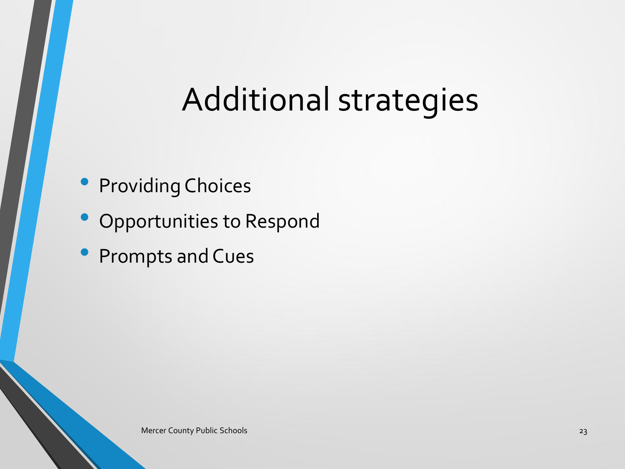### Additional strategies

- Providing Choices
- Opportunities to Respond
- Prompts and Cues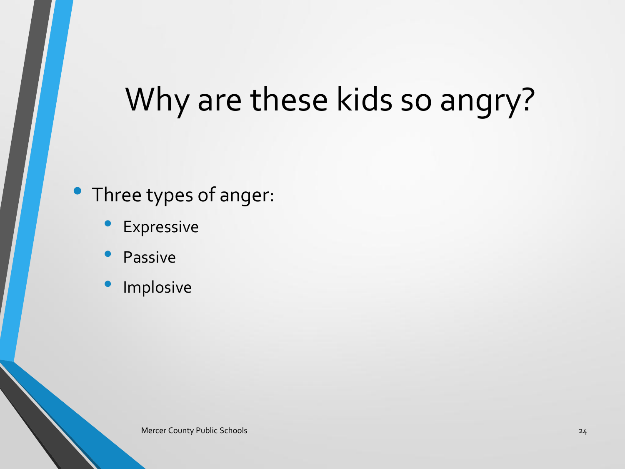## Why are these kids so angry?

#### Three types of anger:

- **Expressive**
- **Passive**
- **Implosive**

Mercer County Public Schools 24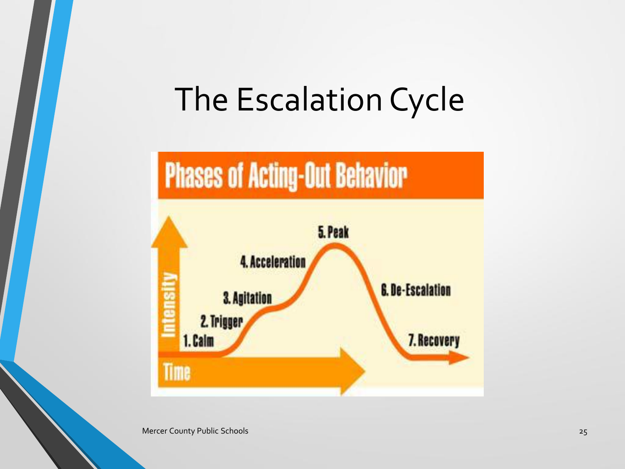### The Escalation Cycle



Mercer County Public Schools 25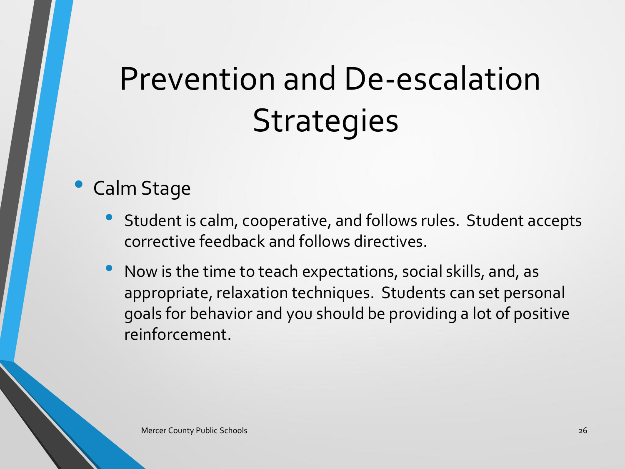#### • Calm Stage

- Student is calm, cooperative, and follows rules. Student accepts corrective feedback and follows directives.
- Now is the time to teach expectations, social skills, and, as appropriate, relaxation techniques. Students can set personal goals for behavior and you should be providing a lot of positive reinforcement.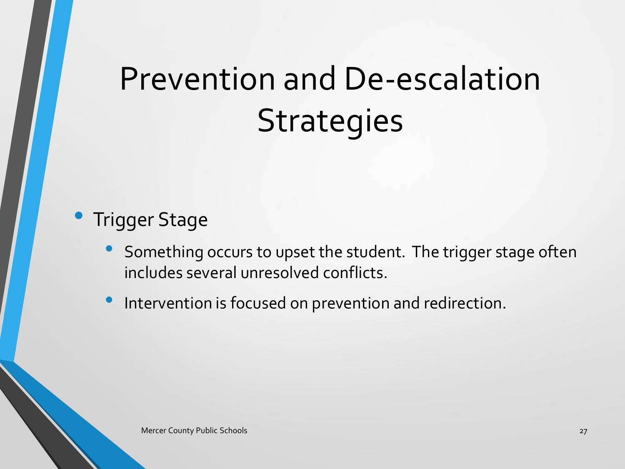#### • Trigger Stage

- Something occurs to upset the student. The trigger stage often includes several unresolved conflicts.
- Intervention is focused on prevention and redirection.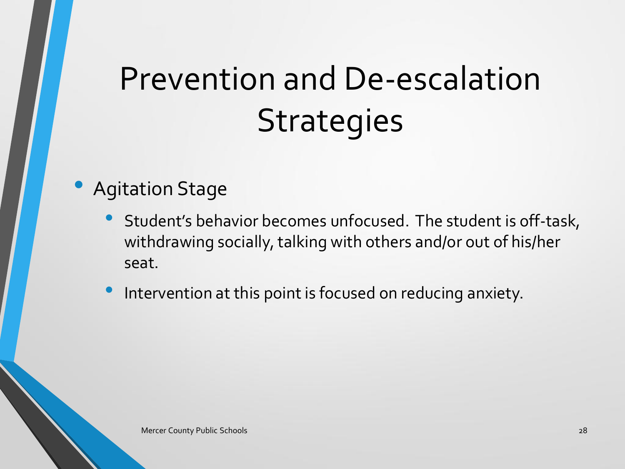#### • Agitation Stage

- Student's behavior becomes unfocused. The student is off-task, withdrawing socially, talking with others and/or out of his/her seat.
- Intervention at this point is focused on reducing anxiety.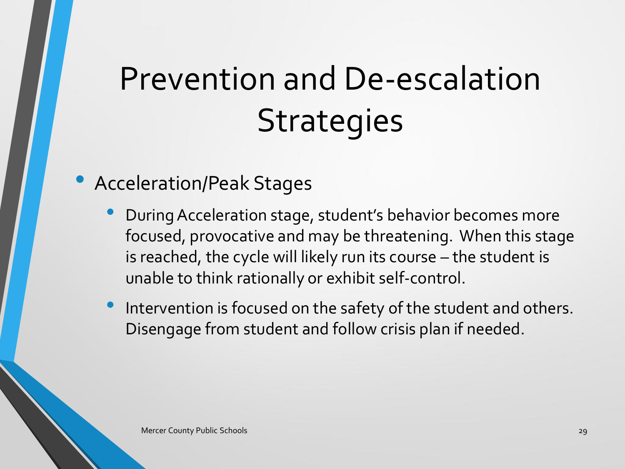#### • Acceleration/Peak Stages

- During Acceleration stage, student's behavior becomes more focused, provocative and may be threatening. When this stage is reached, the cycle will likely run its course – the student is unable to think rationally or exhibit self-control.
- Intervention is focused on the safety of the student and others. Disengage from student and follow crisis plan if needed.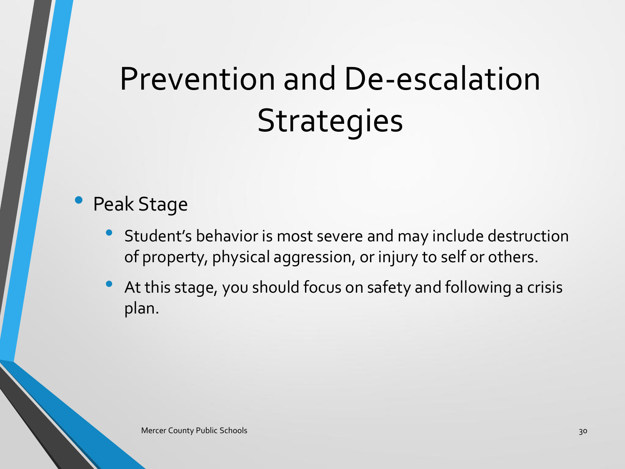#### Peak Stage

- Student's behavior is most severe and may include destruction of property, physical aggression, or injury to self or others.
- At this stage, you should focus on safety and following a crisis plan.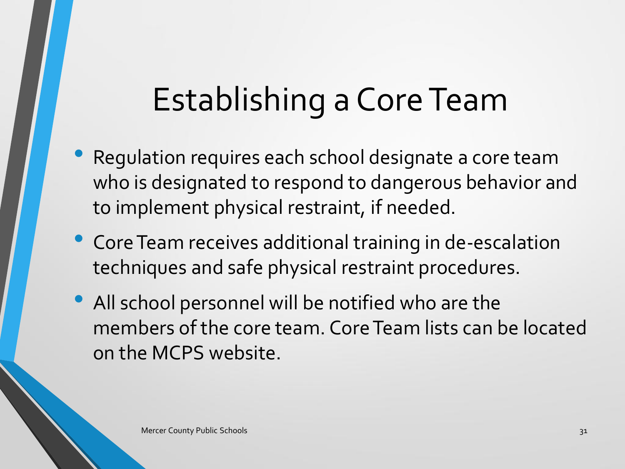## Establishing a Core Team

- Regulation requires each school designate a core team who is designated to respond to dangerous behavior and to implement physical restraint, if needed.
- Core Team receives additional training in de-escalation techniques and safe physical restraint procedures.
- All school personnel will be notified who are the members of the core team. Core Team lists can be located on the MCPS website.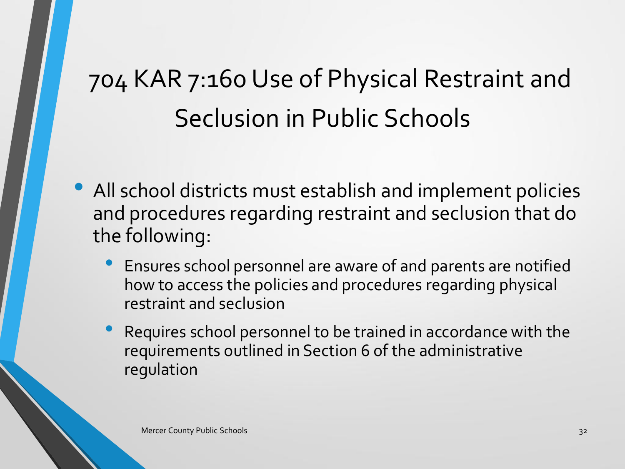### 704 KAR 7:160 Use of Physical Restraint and Seclusion in Public Schools

- All school districts must establish and implement policies and procedures regarding restraint and seclusion that do the following:
	- Ensures school personnel are aware of and parents are notified how to access the policies and procedures regarding physical restraint and seclusion
	- Requires school personnel to be trained in accordance with the requirements outlined in Section 6 of the administrative regulation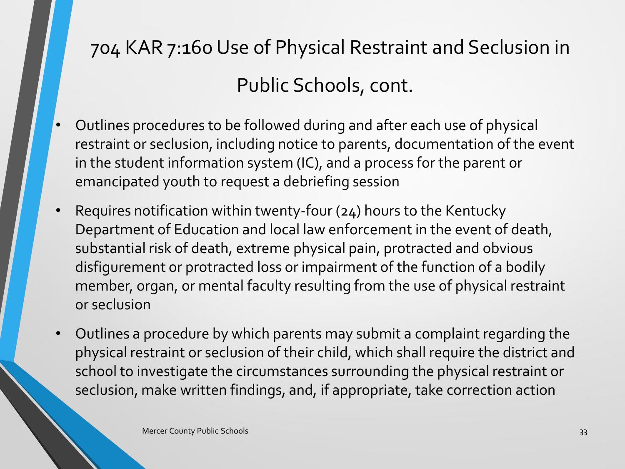### 704 KAR 7:160 Use of Physical Restraint and Seclusion in Public Schools, cont.

- Outlines procedures to be followed during and after each use of physical restraint or seclusion, including notice to parents, documentation of the event in the student information system (IC), and a process for the parent or emancipated youth to request a debriefing session
- Requires notification within twenty-four (24) hours to the Kentucky Department of Education and local law enforcement in the event of death, substantial risk of death, extreme physical pain, protracted and obvious disfigurement or protracted loss or impairment of the function of a bodily member, organ, or mental faculty resulting from the use of physical restraint or seclusion
- Outlines a procedure by which parents may submit a complaint regarding the physical restraint or seclusion of their child, which shall require the district and school to investigate the circumstances surrounding the physical restraint or seclusion, make written findings, and, if appropriate, take correction action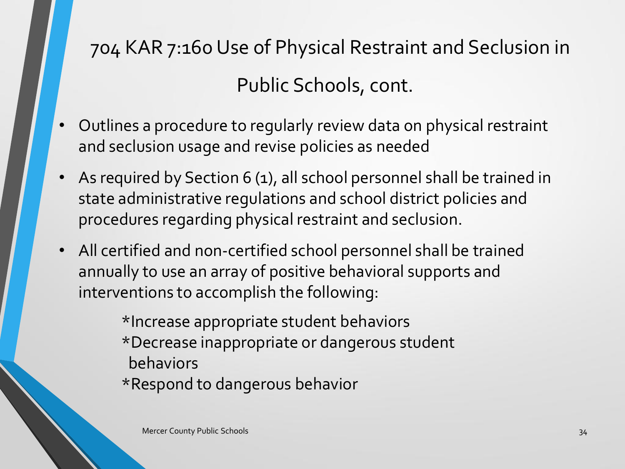### 704 KAR 7:160 Use of Physical Restraint and Seclusion in Public Schools, cont.

- Outlines a procedure to regularly review data on physical restraint and seclusion usage and revise policies as needed
- As required by Section 6 (1), all school personnel shall be trained in state administrative regulations and school district policies and procedures regarding physical restraint and seclusion.
- All certified and non-certified school personnel shall be trained annually to use an array of positive behavioral supports and interventions to accomplish the following:

\*Increase appropriate student behaviors \*Decrease inappropriate or dangerous student behaviors \*Respond to dangerous behavior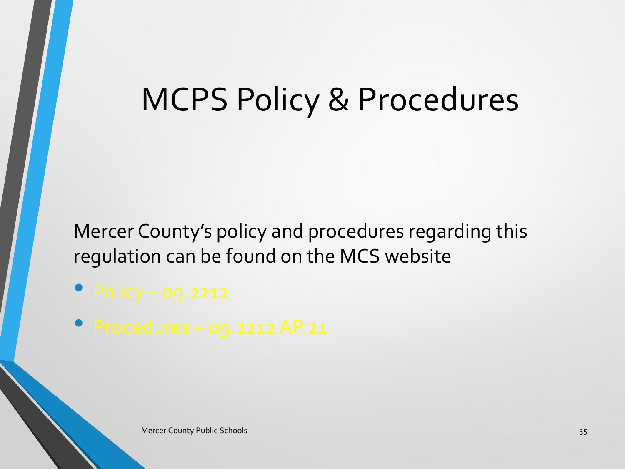### MCPS Policy & Procedures

Mercer County's policy and procedures regarding this regulation can be found on the MCS website

• Policy – 09.2212

• Procedures – 09.2212 AP.21

Mercer County Public Schools 35 November 2014 19:35 November 2014 19:35 November 2014 19:35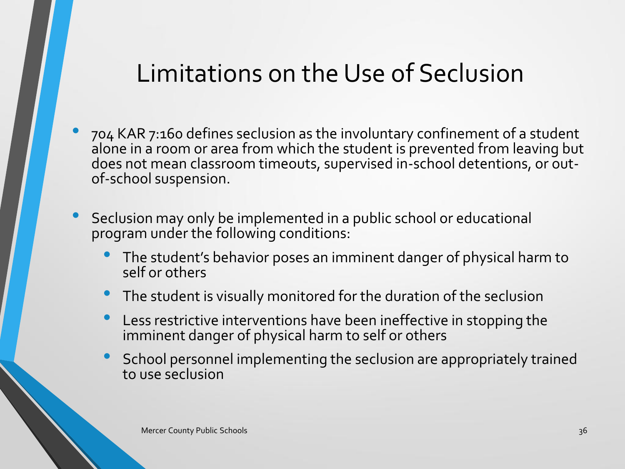### Limitations on the Use of Seclusion

- 704 KAR 7:160 defines seclusion as the involuntary confinement of a student alone in a room or area from which the student is prevented from leaving but does not mean classroom timeouts, supervised in-school detentions, or outof-school suspension.
- Seclusion may only be implemented in a public school or educational program under the following conditions:
	- The student's behavior poses an imminent danger of physical harm to self or others
	- The student is visually monitored for the duration of the seclusion
	- Less restrictive interventions have been ineffective in stopping the imminent danger of physical harm to self or others
	- School personnel implementing the seclusion are appropriately trained to use seclusion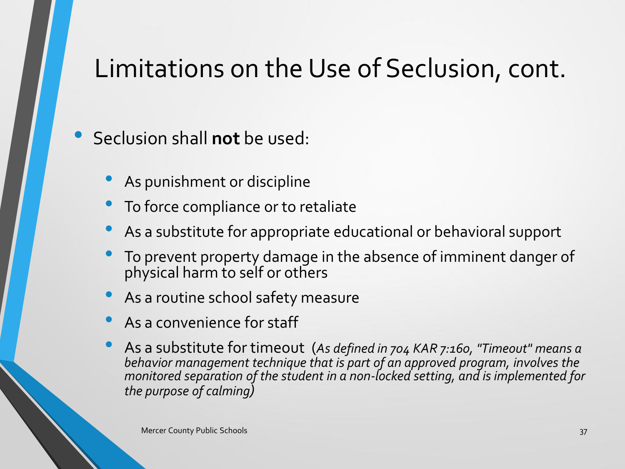### Limitations on the Use of Seclusion, cont.

• Seclusion shall **not** be used:

- As punishment or discipline
- To force compliance or to retaliate
- As a substitute for appropriate educational or behavioral support
- To prevent property damage in the absence of imminent danger of physical harm to self or others
- As a routine school safety measure
- As a convenience for staff
- As a substitute for timeout (*As defined in 704 KAR 7:160, "Timeout" means a behavior management technique that is part of an approved program, involves the monitored separation of the student in a non-locked setting, and is implemented for the purpose of calming)*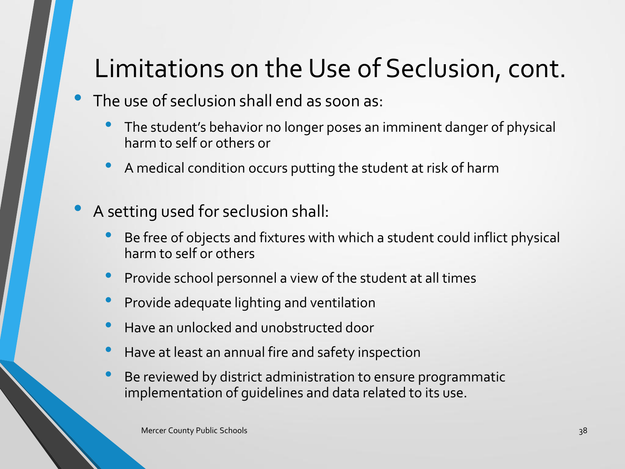### Limitations on the Use of Seclusion, cont.

- The use of seclusion shall end as soon as:
	- The student's behavior no longer poses an imminent danger of physical harm to self or others or
	- A medical condition occurs putting the student at risk of harm
- A setting used for seclusion shall:
	- Be free of objects and fixtures with which a student could inflict physical harm to self or others
	- Provide school personnel a view of the student at all times
	- Provide adequate lighting and ventilation
	- Have an unlocked and unobstructed door
	- Have at least an annual fire and safety inspection
	- Be reviewed by district administration to ensure programmatic implementation of guidelines and data related to its use.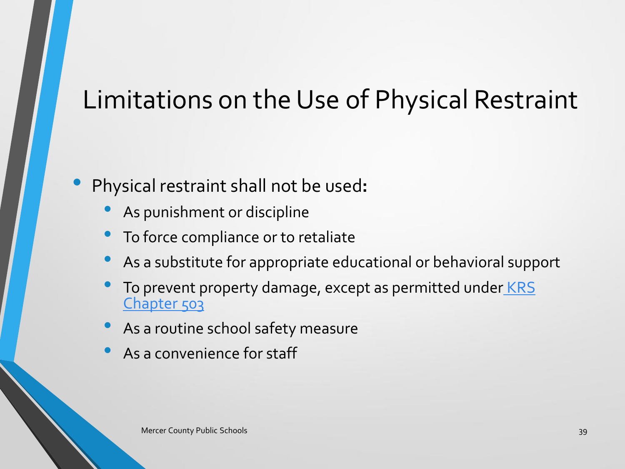- Physical restraint shall not be used**:**
	- As punishment or discipline
	- To force compliance or to retaliate
	- As a substitute for appropriate educational or behavioral support
	- To prevent property damage, except as permitted under KRS [Chapter 503](http://lrc.ky.gov/KRS/503-00/CHAPTER.HTM)
	- As a routine school safety measure
	- As a convenience for staff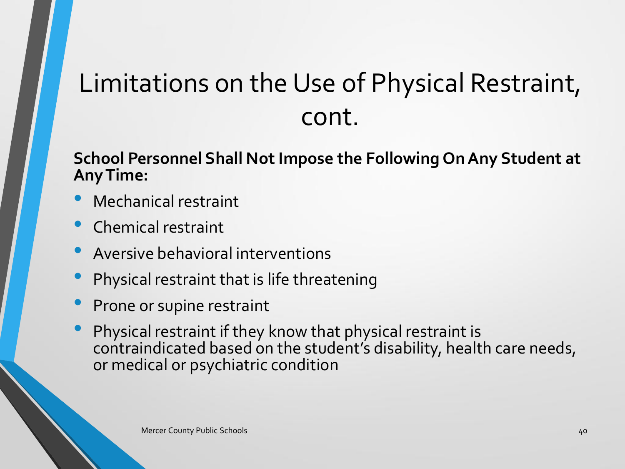#### **School Personnel Shall Not Impose the Following On Any Student at Any Time:**

- Mechanical restraint
- Chemical restraint
- Aversive behavioral interventions
- Physical restraint that is life threatening
- Prone or supine restraint
- Physical restraint if they know that physical restraint is contraindicated based on the student's disability, health care needs, or medical or psychiatric condition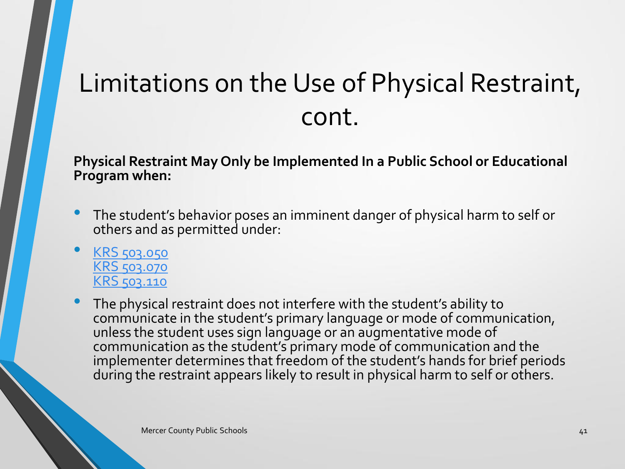**Physical Restraint May Only be Implemented In a Public School or Educational Program when:**

- The student's behavior poses an imminent danger of physical harm to self or others and as permitted under:
- [KRS 503.050](http://lrc.ky.gov/KRS/503-00/050.PDF) [KRS 503.070](http://www.lrc.ky.gov/KRS/503-00/070.PDF) [KRS 503.110](http://www.lrc.ky.gov/KRS/503-00/110.PDF)
- The physical restraint does not interfere with the student's ability to communicate in the student's primary language or mode of communication, unless the student uses sign language or an augmentative mode of communication as the student's primary mode of communication and the implementer determines that freedom of the student's hands for brief periods during the restraint appears likely to result in physical harm to self or others.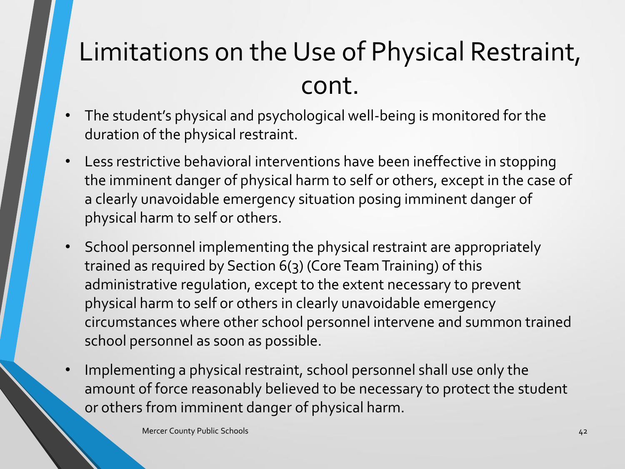- The student's physical and psychological well-being is monitored for the duration of the physical restraint.
- Less restrictive behavioral interventions have been ineffective in stopping the imminent danger of physical harm to self or others, except in the case of a clearly unavoidable emergency situation posing imminent danger of physical harm to self or others.
- School personnel implementing the physical restraint are appropriately trained as required by Section 6(3) (Core Team Training) of this administrative regulation, except to the extent necessary to prevent physical harm to self or others in clearly unavoidable emergency circumstances where other school personnel intervene and summon trained school personnel as soon as possible.
- Implementing a physical restraint, school personnel shall use only the amount of force reasonably believed to be necessary to protect the student or others from imminent danger of physical harm.

Mercer County Public Schools **42** And the United Schools **42** And the United Schools **42** And the United Schools **42**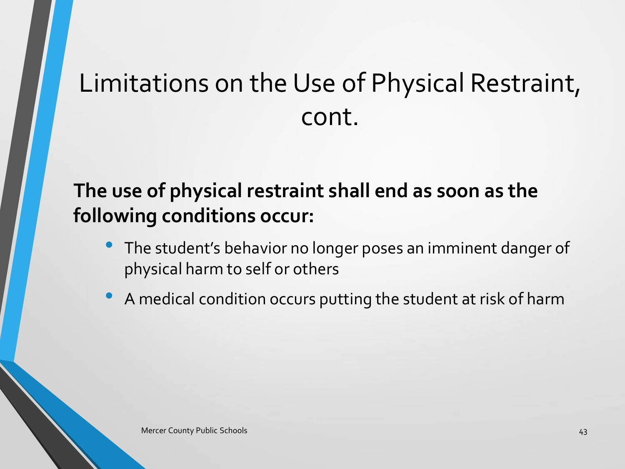### **The use of physical restraint shall end as soon as the following conditions occur:**

- The student's behavior no longer poses an imminent danger of physical harm to self or others
- A medical condition occurs putting the student at risk of harm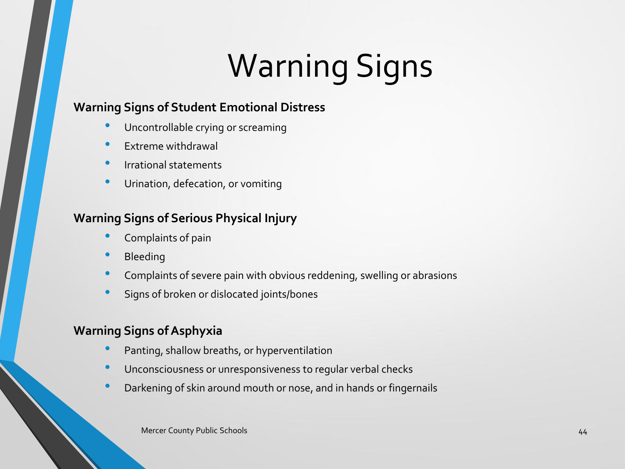# Warning Signs

#### **Warning Signs of Student Emotional Distress**

- Uncontrollable crying or screaming
- Extreme withdrawal
- Irrational statements
- Urination, defecation, or vomiting

#### **Warning Signs of Serious Physical Injury**

- Complaints of pain
- **Bleeding**
- Complaints of severe pain with obvious reddening, swelling or abrasions
- Signs of broken or dislocated joints/bones

#### **Warning Signs of Asphyxia**

- Panting, shallow breaths, or hyperventilation
- Unconsciousness or unresponsiveness to regular verbal checks
- Darkening of skin around mouth or nose, and in hands or fingernails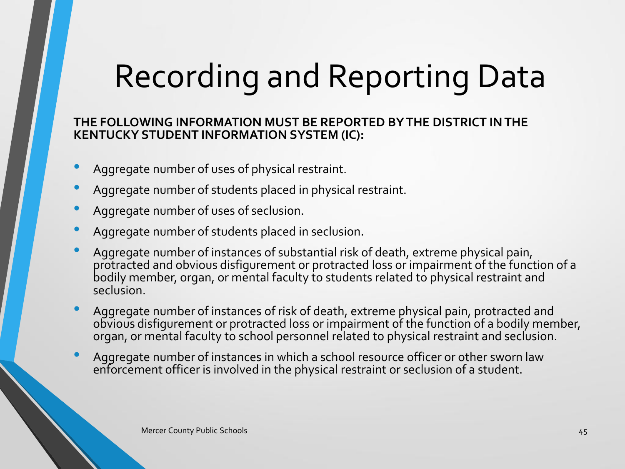# Recording and Reporting Data

#### **THE FOLLOWING INFORMATION MUST BE REPORTED BY THE DISTRICT IN THE KENTUCKY STUDENT INFORMATION SYSTEM (IC):**

- Aggregate number of uses of physical restraint.
- Aggregate number of students placed in physical restraint.
- Aggregate number of uses of seclusion.
- Aggregate number of students placed in seclusion.
- Aggregate number of instances of substantial risk of death, extreme physical pain, protracted and obvious disfigurement or protracted loss or impairment of the function of a bodily member, organ, or mental faculty to students related to physical restraint and seclusion.
- Aggregate number of instances of risk of death, extreme physical pain, protracted and obvious disfigurement or protracted loss or impairment of the function of a bodily member, organ, or mental faculty to school personnel related to physical restraint and seclusion.
- Aggregate number of instances in which a school resource officer or other sworn law enforcement officer is involved in the physical restraint or seclusion of a student.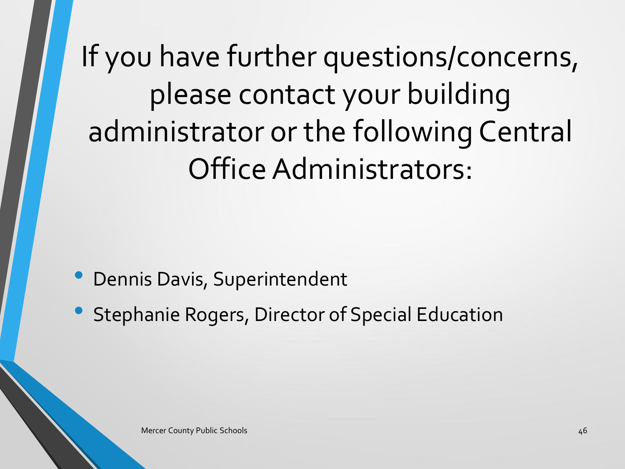If you have further questions/concerns, please contact your building administrator or the following Central Office Administrators:

- Dennis Davis, Superintendent
- Stephanie Rogers, Director of Special Education